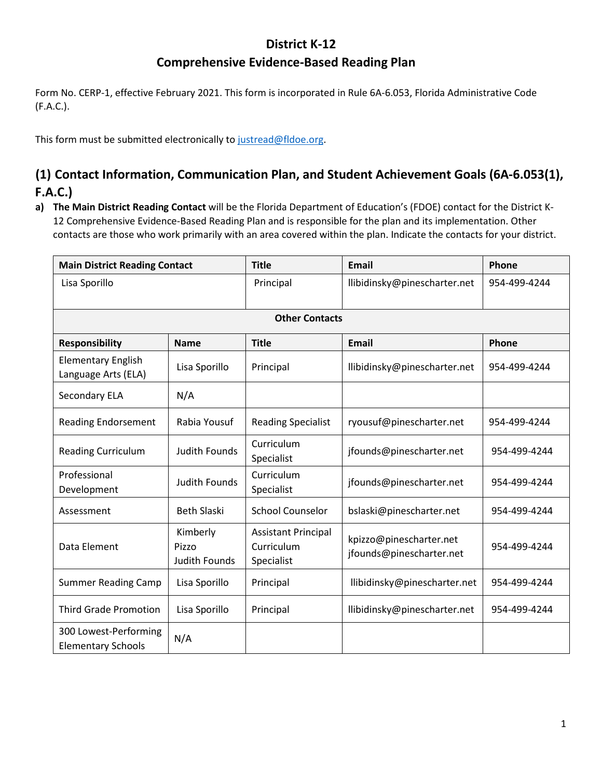### **District K-12**

# **Comprehensive Evidence-Based Reading Plan**

Form No. CERP-1, effective February 2021. This form is incorporated in Rule 6A-6.053, Florida Administrative Code (F.A.C.).

This form must be submitted electronically to justread@fldoe.org.

### **(1) Contact Information, Communication Plan, and Student Achievement Goals (6A-6.053(1), F.A.C.)**

**a) The Main District Reading Contact** will be the Florida Department of Education's (FDOE) contact for the District K-12 Comprehensive Evidence-Based Reading Plan and is responsible for the plan and its implementation. Other contacts are those who work primarily with an area covered within the plan. Indicate the contacts for your district.

| <b>Main District Reading Contact</b>               |                                           | <b>Title</b>                                           | <b>Email</b>                                        | Phone        |  |  |  |
|----------------------------------------------------|-------------------------------------------|--------------------------------------------------------|-----------------------------------------------------|--------------|--|--|--|
| Lisa Sporillo                                      |                                           | Principal                                              | llibidinsky@pinescharter.net                        | 954-499-4244 |  |  |  |
|                                                    | <b>Other Contacts</b>                     |                                                        |                                                     |              |  |  |  |
| <b>Responsibility</b>                              | <b>Name</b>                               | <b>Title</b>                                           | <b>Email</b>                                        | Phone        |  |  |  |
| <b>Elementary English</b><br>Language Arts (ELA)   | Lisa Sporillo                             | Principal                                              | llibidinsky@pinescharter.net                        | 954-499-4244 |  |  |  |
| <b>Secondary ELA</b>                               | N/A                                       |                                                        |                                                     |              |  |  |  |
| <b>Reading Endorsement</b>                         | Rabia Yousuf                              | <b>Reading Specialist</b>                              | ryousuf@pinescharter.net                            | 954-499-4244 |  |  |  |
| <b>Reading Curriculum</b>                          | <b>Judith Founds</b>                      | Curriculum<br>Specialist                               | jfounds@pinescharter.net                            | 954-499-4244 |  |  |  |
| Professional<br>Development                        | <b>Judith Founds</b>                      | Curriculum<br>Specialist                               | jfounds@pinescharter.net                            | 954-499-4244 |  |  |  |
| Assessment                                         | <b>Beth Slaski</b>                        | <b>School Counselor</b>                                | bslaski@pinescharter.net                            | 954-499-4244 |  |  |  |
| Data Element                                       | Kimberly<br>Pizzo<br><b>Judith Founds</b> | <b>Assistant Principal</b><br>Curriculum<br>Specialist | kpizzo@pinescharter.net<br>jfounds@pinescharter.net | 954-499-4244 |  |  |  |
| <b>Summer Reading Camp</b>                         | Lisa Sporillo                             | Principal                                              | llibidinsky@pinescharter.net                        | 954-499-4244 |  |  |  |
| <b>Third Grade Promotion</b>                       | Lisa Sporillo                             | Principal                                              | llibidinsky@pinescharter.net                        | 954-499-4244 |  |  |  |
| 300 Lowest-Performing<br><b>Elementary Schools</b> | N/A                                       |                                                        |                                                     |              |  |  |  |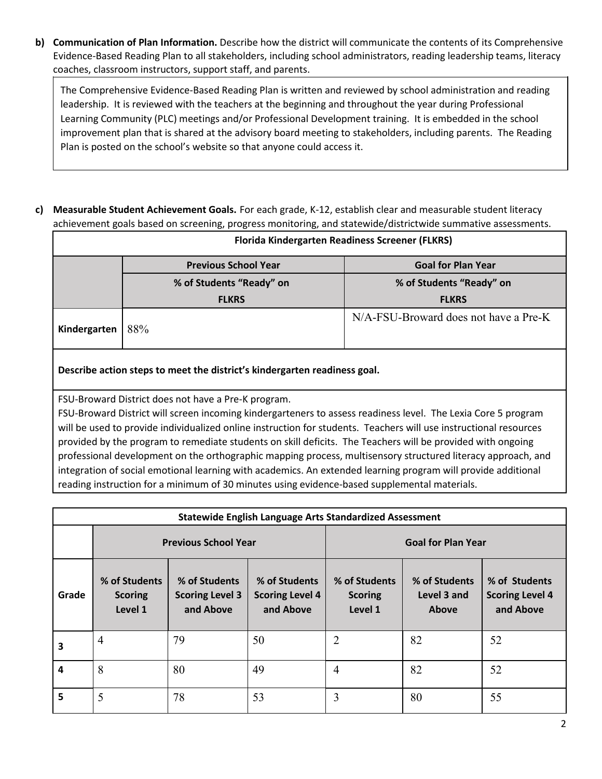**b) Communication of Plan Information.** Describe how the district will communicate the contents of its Comprehensive Evidence-Based Reading Plan to all stakeholders, including school administrators, reading leadership teams, literacy coaches, classroom instructors, support staff, and parents.

The Comprehensive Evidence-Based Reading Plan is written and reviewed by school administration and reading leadership. It is reviewed with the teachers at the beginning and throughout the year during Professional Learning Community (PLC) meetings and/or Professional Development training. It is embedded in the school improvement plan that is shared at the advisory board meeting to stakeholders, including parents. The Reading Plan is posted on the school's website so that anyone could access it.

**c) Measurable Student Achievement Goals.** For each grade, K-12, establish clear and measurable student literacy achievement goals based on screening, progress monitoring, and statewide/districtwide summative assessments.

| Florida Kindergarten Readiness Screener (FLKRS) |                             |                                       |  |  |
|-------------------------------------------------|-----------------------------|---------------------------------------|--|--|
|                                                 | <b>Previous School Year</b> | <b>Goal for Plan Year</b>             |  |  |
|                                                 | % of Students "Ready" on    | % of Students "Ready" on              |  |  |
|                                                 | <b>FLKRS</b>                | <b>FLKRS</b>                          |  |  |
| Kindergarten                                    | 88%                         | N/A-FSU-Broward does not have a Pre-K |  |  |

### **Describe action steps to meet the district's kindergarten readiness goal.**

FSU-Broward District does not have a Pre-K program.

FSU-Broward District will screen incoming kindergarteners to assess readiness level. The Lexia Core 5 program will be used to provide individualized online instruction for students. Teachers will use instructional resources provided by the program to remediate students on skill deficits. The Teachers will be provided with ongoing professional development on the orthographic mapping process, multisensory structured literacy approach, and integration of social emotional learning with academics. An extended learning program will provide additional reading instruction for a minimum of 30 minutes using evidence-based supplemental materials.

| <b>Statewide English Language Arts Standardized Assessment</b> |                                            |                                                      |                                                      |                                            |                                       |                                                      |
|----------------------------------------------------------------|--------------------------------------------|------------------------------------------------------|------------------------------------------------------|--------------------------------------------|---------------------------------------|------------------------------------------------------|
|                                                                | <b>Previous School Year</b>                |                                                      |                                                      |                                            | <b>Goal for Plan Year</b>             |                                                      |
| Grade                                                          | % of Students<br><b>Scoring</b><br>Level 1 | % of Students<br><b>Scoring Level 3</b><br>and Above | % of Students<br><b>Scoring Level 4</b><br>and Above | % of Students<br><b>Scoring</b><br>Level 1 | % of Students<br>Level 3 and<br>Above | % of Students<br><b>Scoring Level 4</b><br>and Above |
| 3                                                              | 4                                          | 79                                                   | 50                                                   | $\overline{2}$                             | 82                                    | 52                                                   |
| 4                                                              | 8                                          | 80                                                   | 49                                                   | $\overline{4}$                             | 82                                    | 52                                                   |
| 5                                                              | 5                                          | 78                                                   | 53                                                   | 3                                          | 80                                    | 55                                                   |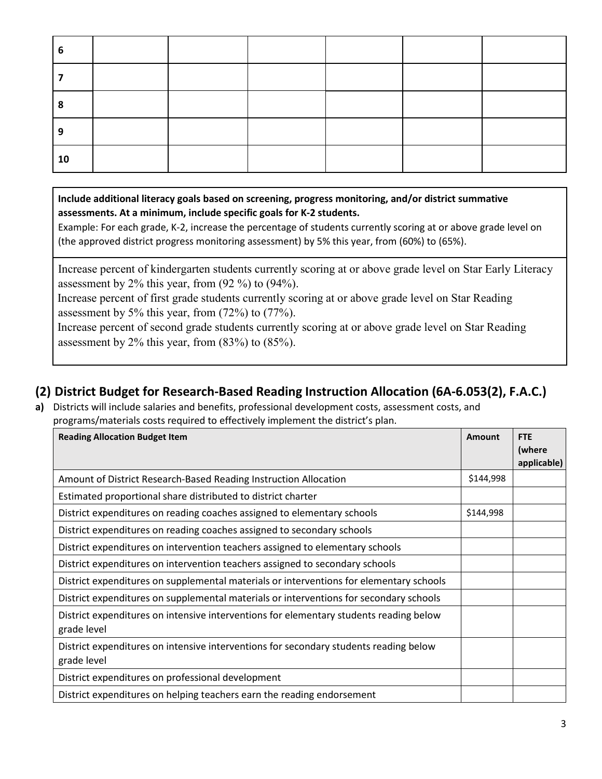| n  |  |  |  |
|----|--|--|--|
|    |  |  |  |
|    |  |  |  |
|    |  |  |  |
| 10 |  |  |  |

**Include additional literacy goals based on screening, progress monitoring, and/or district summative assessments. At a minimum, include specific goals for K-2 students.** 

Example: For each grade, K-2, increase the percentage of students currently scoring at or above grade level on (the approved district progress monitoring assessment) by 5% this year, from (60%) to (65%).

Increase percent of kindergarten students currently scoring at or above grade level on Star Early Literacy assessment by 2% this year, from (92 %) to (94%).

Increase percent of first grade students currently scoring at or above grade level on Star Reading assessment by 5% this year, from (72%) to (77%).

Increase percent of second grade students currently scoring at or above grade level on Star Reading assessment by 2% this year, from (83%) to (85%).

### **(2) District Budget for Research-Based Reading Instruction Allocation (6A-6.053(2), F.A.C.)**

**a)** Districts will include salaries and benefits, professional development costs, assessment costs, and programs/materials costs required to effectively implement the district's plan.

| <b>Reading Allocation Budget Item</b>                                                                 | Amount    | <b>FTE</b>  |
|-------------------------------------------------------------------------------------------------------|-----------|-------------|
|                                                                                                       |           | (where      |
|                                                                                                       |           | applicable) |
| Amount of District Research-Based Reading Instruction Allocation                                      | \$144,998 |             |
| Estimated proportional share distributed to district charter                                          |           |             |
| District expenditures on reading coaches assigned to elementary schools                               | \$144,998 |             |
| District expenditures on reading coaches assigned to secondary schools                                |           |             |
| District expenditures on intervention teachers assigned to elementary schools                         |           |             |
| District expenditures on intervention teachers assigned to secondary schools                          |           |             |
| District expenditures on supplemental materials or interventions for elementary schools               |           |             |
| District expenditures on supplemental materials or interventions for secondary schools                |           |             |
| District expenditures on intensive interventions for elementary students reading below<br>grade level |           |             |
|                                                                                                       |           |             |
| District expenditures on intensive interventions for secondary students reading below                 |           |             |
| grade level                                                                                           |           |             |
| District expenditures on professional development                                                     |           |             |
| District expenditures on helping teachers earn the reading endorsement                                |           |             |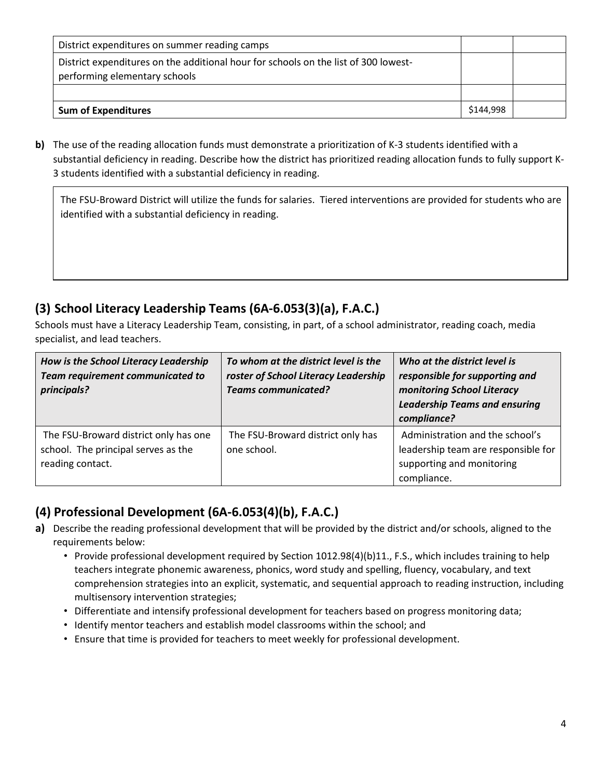| District expenditures on summer reading camps                                                                        |           |  |
|----------------------------------------------------------------------------------------------------------------------|-----------|--|
| District expenditures on the additional hour for schools on the list of 300 lowest-<br>performing elementary schools |           |  |
|                                                                                                                      |           |  |
| <b>Sum of Expenditures</b>                                                                                           | \$144,998 |  |

**b)** The use of the reading allocation funds must demonstrate a prioritization of K-3 students identified with a substantial deficiency in reading. Describe how the district has prioritized reading allocation funds to fully support K-3 students identified with a substantial deficiency in reading.

The FSU-Broward District will utilize the funds for salaries. Tiered interventions are provided for students who are identified with a substantial deficiency in reading.

# **(3) School Literacy Leadership Teams (6A-6.053(3)(a), F.A.C.)**

Schools must have a Literacy Leadership Team, consisting, in part, of a school administrator, reading coach, media specialist, and lead teachers.

| How is the School Literacy Leadership<br>Team requirement communicated to<br>principals?         | To whom at the district level is the<br>roster of School Literacy Leadership<br><b>Teams communicated?</b> | Who at the district level is<br>responsible for supporting and<br>monitoring School Literacy<br><b>Leadership Teams and ensuring</b><br>compliance? |
|--------------------------------------------------------------------------------------------------|------------------------------------------------------------------------------------------------------------|-----------------------------------------------------------------------------------------------------------------------------------------------------|
| The FSU-Broward district only has one<br>school. The principal serves as the<br>reading contact. | The FSU-Broward district only has<br>one school.                                                           | Administration and the school's<br>leadership team are responsible for<br>supporting and monitoring<br>compliance.                                  |

# **(4) Professional Development (6A-6.053(4)(b), F.A.C.)**

- **a)** Describe the reading professional development that will be provided by the district and/or schools, aligned to the requirements below:
	- Provide professional development required by Section 1012.98(4)(b)11., F.S., which includes training to help teachers integrate phonemic awareness, phonics, word study and spelling, fluency, vocabulary, and text comprehension strategies into an explicit, systematic, and sequential approach to reading instruction, including multisensory intervention strategies;
	- Differentiate and intensify professional development for teachers based on progress monitoring data;
	- Identify mentor teachers and establish model classrooms within the school; and
	- Ensure that time is provided for teachers to meet weekly for professional development.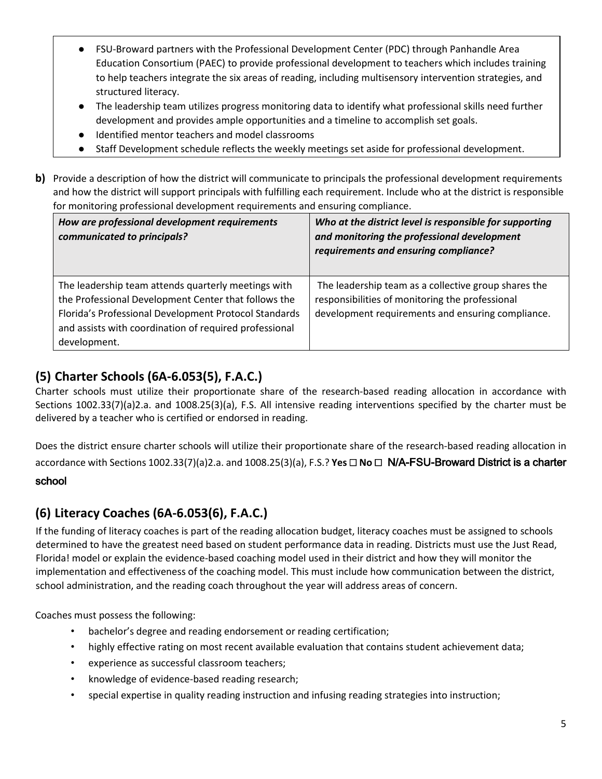- FSU-Broward partners with the Professional Development Center (PDC) through Panhandle Area Education Consortium (PAEC) to provide professional development to teachers which includes training to help teachers integrate the six areas of reading, including multisensory intervention strategies, and structured literacy.
- The leadership team utilizes progress monitoring data to identify what professional skills need further development and provides ample opportunities and a timeline to accomplish set goals.
- Identified mentor teachers and model classrooms
- Staff Development schedule reflects the weekly meetings set aside for professional development.
- **b)** Provide a description of how the district will communicate to principals the professional development requirements and how the district will support principals with fulfilling each requirement. Include who at the district is responsible for monitoring professional development requirements and ensuring compliance.

| How are professional development requirements<br>communicated to principals?                                                                                                                                                                   | Who at the district level is responsible for supporting<br>and monitoring the professional development<br>requirements and ensuring compliance?              |
|------------------------------------------------------------------------------------------------------------------------------------------------------------------------------------------------------------------------------------------------|--------------------------------------------------------------------------------------------------------------------------------------------------------------|
| The leadership team attends quarterly meetings with<br>the Professional Development Center that follows the<br>Florida's Professional Development Protocol Standards<br>and assists with coordination of required professional<br>development. | The leadership team as a collective group shares the<br>responsibilities of monitoring the professional<br>development requirements and ensuring compliance. |

# **(5) Charter Schools (6A-6.053(5), F.A.C.)**

Charter schools must utilize their proportionate share of the research-based reading allocation in accordance with Sections 1002.33(7)(a)2.a. and 1008.25(3)(a), F.S. All intensive reading interventions specified by the charter must be delivered by a teacher who is certified or endorsed in reading.

Does the district ensure charter schools will utilize their proportionate share of the research-based reading allocation in accordance with Sections 1002.33(7)(a)2.a. and 1008.25(3)(a), F.S.? **Yes** ☐ **No** ☐ N/A-FSU-Broward District is a charter

### school

## **(6) Literacy Coaches (6A-6.053(6), F.A.C.)**

If the funding of literacy coaches is part of the reading allocation budget, literacy coaches must be assigned to schools determined to have the greatest need based on student performance data in reading. Districts must use the Just Read, Florida! model or explain the evidence-based coaching model used in their district and how they will monitor the implementation and effectiveness of the coaching model. This must include how communication between the district, school administration, and the reading coach throughout the year will address areas of concern.

Coaches must possess the following:

- bachelor's degree and reading endorsement or reading certification;
- highly effective rating on most recent available evaluation that contains student achievement data;
- experience as successful classroom teachers;
- knowledge of evidence-based reading research;
- special expertise in quality reading instruction and infusing reading strategies into instruction;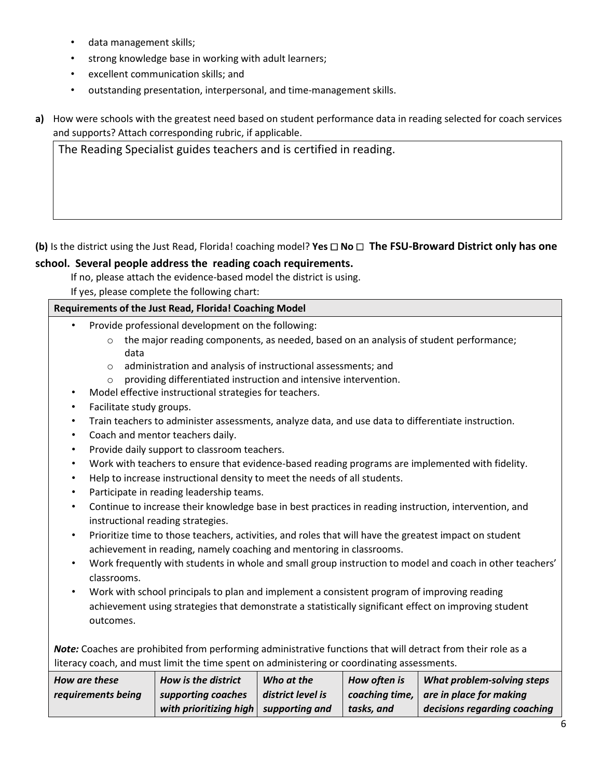- data management skills;
- strong knowledge base in working with adult learners;
- excellent communication skills; and
- outstanding presentation, interpersonal, and time-management skills.
- **a)** How were schools with the greatest need based on student performance data in reading selected for coach services and supports? Attach corresponding rubric, if applicable.

The Reading Specialist guides teachers and is certified in reading.

### **(b)** Is the district using the Just Read, Florida! coaching model? **Yes** ☐ **No** ☐ **The FSU-Broward District only has one**

### **school. Several people address the reading coach requirements.**

If no, please attach the evidence-based model the district is using.

If yes, please complete the following chart:

#### **Requirements of the Just Read, Florida! Coaching Model**

- Provide professional development on the following:
	- $\circ$  the major reading components, as needed, based on an analysis of student performance; data
	- o administration and analysis of instructional assessments; and
	- o providing differentiated instruction and intensive intervention.
- Model effective instructional strategies for teachers.
- Facilitate study groups.
- Train teachers to administer assessments, analyze data, and use data to differentiate instruction.
- Coach and mentor teachers daily.
- Provide daily support to classroom teachers.
- Work with teachers to ensure that evidence-based reading programs are implemented with fidelity.
- Help to increase instructional density to meet the needs of all students.
- Participate in reading leadership teams.
- Continue to increase their knowledge base in best practices in reading instruction, intervention, and instructional reading strategies.
- Prioritize time to those teachers, activities, and roles that will have the greatest impact on student achievement in reading, namely coaching and mentoring in classrooms.
- Work frequently with students in whole and small group instruction to model and coach in other teachers' classrooms.
- Work with school principals to plan and implement a consistent program of improving reading achievement using strategies that demonstrate a statistically significant effect on improving student outcomes.

*Note:* Coaches are prohibited from performing administrative functions that will detract from their role as a literacy coach, and must limit the time spent on administering or coordinating assessments.

| How are these      | How is the district                     | Who at the        | How often is | What problem-solving steps                 |
|--------------------|-----------------------------------------|-------------------|--------------|--------------------------------------------|
| requirements being | supporting coaches                      | district level is |              | coaching time, $ $ are in place for making |
|                    | with prioritizing high   supporting and |                   | tasks, and   | decisions regarding coaching               |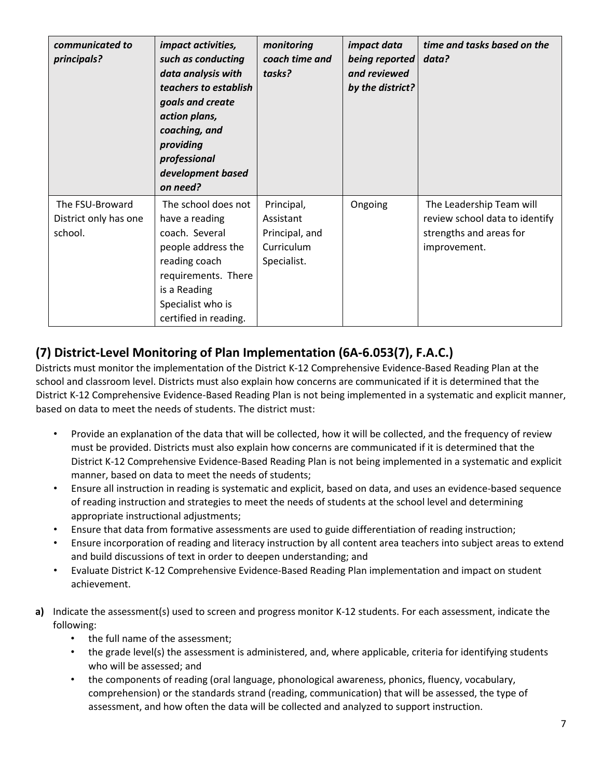| communicated to<br>principals?                      | <i>impact activities,</i><br>such as conducting<br>data analysis with<br>teachers to establish<br>goals and create<br>action plans,<br>coaching, and<br>providing<br>professional<br>development based<br>on need? | monitoring<br>coach time and<br>tasks?                                 | <i>impact data</i><br>being reported<br>and reviewed<br>by the district? | time and tasks based on the<br>data?                                                                  |
|-----------------------------------------------------|--------------------------------------------------------------------------------------------------------------------------------------------------------------------------------------------------------------------|------------------------------------------------------------------------|--------------------------------------------------------------------------|-------------------------------------------------------------------------------------------------------|
| The FSU-Broward<br>District only has one<br>school. | The school does not<br>have a reading<br>coach. Several<br>people address the<br>reading coach<br>requirements. There<br>is a Reading<br>Specialist who is<br>certified in reading.                                | Principal,<br>Assistant<br>Principal, and<br>Curriculum<br>Specialist. | Ongoing                                                                  | The Leadership Team will<br>review school data to identify<br>strengths and areas for<br>improvement. |

# **(7) District-Level Monitoring of Plan Implementation (6A-6.053(7), F.A.C.)**

Districts must monitor the implementation of the District K-12 Comprehensive Evidence-Based Reading Plan at the school and classroom level. Districts must also explain how concerns are communicated if it is determined that the District K-12 Comprehensive Evidence-Based Reading Plan is not being implemented in a systematic and explicit manner, based on data to meet the needs of students. The district must:

- Provide an explanation of the data that will be collected, how it will be collected, and the frequency of review must be provided. Districts must also explain how concerns are communicated if it is determined that the District K-12 Comprehensive Evidence-Based Reading Plan is not being implemented in a systematic and explicit manner, based on data to meet the needs of students;
- Ensure all instruction in reading is systematic and explicit, based on data, and uses an evidence-based sequence of reading instruction and strategies to meet the needs of students at the school level and determining appropriate instructional adjustments;
- Ensure that data from formative assessments are used to guide differentiation of reading instruction;
- Ensure incorporation of reading and literacy instruction by all content area teachers into subject areas to extend and build discussions of text in order to deepen understanding; and
- Evaluate District K-12 Comprehensive Evidence-Based Reading Plan implementation and impact on student achievement.
- **a)** Indicate the assessment(s) used to screen and progress monitor K-12 students. For each assessment, indicate the following:
	- the full name of the assessment;
	- the grade level(s) the assessment is administered, and, where applicable, criteria for identifying students who will be assessed; and
	- the components of reading (oral language, phonological awareness, phonics, fluency, vocabulary, comprehension) or the standards strand (reading, communication) that will be assessed, the type of assessment, and how often the data will be collected and analyzed to support instruction.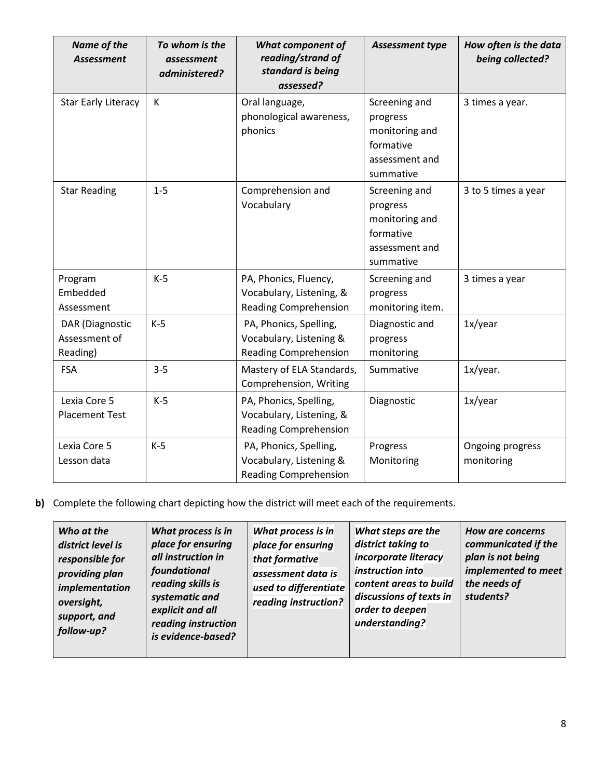| Name of the<br><b>Assessment</b>             | To whom is the<br>assessment<br>administered? | <b>What component of</b><br>reading/strand of<br>standard is being<br>assessed?    | Assessment type                                                                         | How often is the data<br>being collected? |
|----------------------------------------------|-----------------------------------------------|------------------------------------------------------------------------------------|-----------------------------------------------------------------------------------------|-------------------------------------------|
| <b>Star Early Literacy</b>                   | К                                             | Oral language,<br>phonological awareness,<br>phonics                               | Screening and<br>progress<br>monitoring and<br>formative<br>assessment and<br>summative | 3 times a year.                           |
| <b>Star Reading</b>                          | $1 - 5$                                       | Comprehension and<br>Vocabulary                                                    | Screening and<br>progress<br>monitoring and<br>formative<br>assessment and<br>summative | 3 to 5 times a year                       |
| Program<br>Embedded<br>Assessment            | $K-5$                                         | PA, Phonics, Fluency,<br>Vocabulary, Listening, &<br><b>Reading Comprehension</b>  | Screening and<br>progress<br>monitoring item.                                           | 3 times a year                            |
| DAR (Diagnostic<br>Assessment of<br>Reading) | $K-5$                                         | PA, Phonics, Spelling,<br>Vocabulary, Listening &<br><b>Reading Comprehension</b>  | Diagnostic and<br>progress<br>monitoring                                                | 1x/year                                   |
| <b>FSA</b>                                   | $3 - 5$                                       | Mastery of ELA Standards,<br>Comprehension, Writing                                | Summative                                                                               | 1x/year.                                  |
| Lexia Core 5<br><b>Placement Test</b>        | $K-5$                                         | PA, Phonics, Spelling,<br>Vocabulary, Listening, &<br><b>Reading Comprehension</b> | Diagnostic                                                                              | 1x/year                                   |
| Lexia Core 5<br>Lesson data                  | $K-5$                                         | PA, Phonics, Spelling,<br>Vocabulary, Listening &<br><b>Reading Comprehension</b>  | Progress<br>Monitoring                                                                  | Ongoing progress<br>monitoring            |

**b)** Complete the following chart depicting how the district will meet each of the requirements.

| Who at the<br>district level is<br>responsible for<br>providing plan<br>implementation<br>oversight,<br>support, and<br>follow-up? | What process is in<br>place for ensuring<br>all instruction in<br>foundational<br>reading skills is<br>systematic and<br>explicit and all<br>reading instruction<br>is evidence-based? | What process is in<br>place for ensuring<br>that formative<br>assessment data is<br>used to differentiate<br>reading instruction? | What steps are the<br>district taking to<br>incorporate literacy<br>instruction into<br>content areas to build<br>discussions of texts in<br>order to deepen<br>understanding? | <b>How are concerns</b><br>communicated if the<br>plan is not being<br>implemented to meet<br>the needs of<br>students? |
|------------------------------------------------------------------------------------------------------------------------------------|----------------------------------------------------------------------------------------------------------------------------------------------------------------------------------------|-----------------------------------------------------------------------------------------------------------------------------------|--------------------------------------------------------------------------------------------------------------------------------------------------------------------------------|-------------------------------------------------------------------------------------------------------------------------|
|------------------------------------------------------------------------------------------------------------------------------------|----------------------------------------------------------------------------------------------------------------------------------------------------------------------------------------|-----------------------------------------------------------------------------------------------------------------------------------|--------------------------------------------------------------------------------------------------------------------------------------------------------------------------------|-------------------------------------------------------------------------------------------------------------------------|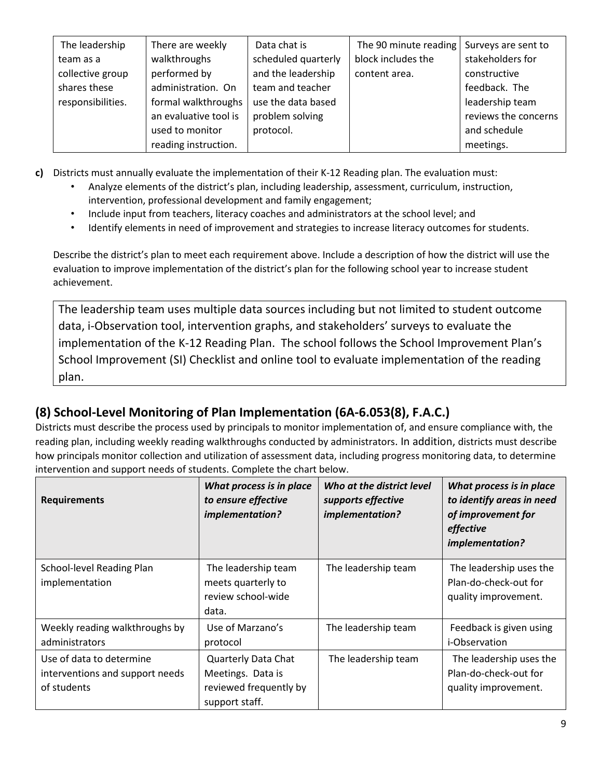| The leadership    | There are weekly      | Data chat is        | The 90 minute reading | Surveys are sent to  |
|-------------------|-----------------------|---------------------|-----------------------|----------------------|
| team as a         | walkthroughs          | scheduled quarterly | block includes the    | stakeholders for     |
| collective group  | performed by          | and the leadership  | content area.         | constructive         |
| shares these      | administration. On    | team and teacher    |                       | feedback. The        |
| responsibilities. | formal walkthroughs   | use the data based  |                       | leadership team      |
|                   | an evaluative tool is | problem solving     |                       | reviews the concerns |
|                   | used to monitor       | protocol.           |                       | and schedule         |
|                   | reading instruction.  |                     |                       | meetings.            |

**c)** Districts must annually evaluate the implementation of their K-12 Reading plan. The evaluation must:

- Analyze elements of the district's plan, including leadership, assessment, curriculum, instruction, intervention, professional development and family engagement;
- Include input from teachers, literacy coaches and administrators at the school level; and
- Identify elements in need of improvement and strategies to increase literacy outcomes for students.

Describe the district's plan to meet each requirement above. Include a description of how the district will use the evaluation to improve implementation of the district's plan for the following school year to increase student achievement.

The leadership team uses multiple data sources including but not limited to student outcome data, i-Observation tool, intervention graphs, and stakeholders' surveys to evaluate the implementation of the K-12 Reading Plan. The school follows the School Improvement Plan's School Improvement (SI) Checklist and online tool to evaluate implementation of the reading plan.

# **(8) School-Level Monitoring of Plan Implementation (6A-6.053(8), F.A.C.)**

Districts must describe the process used by principals to monitor implementation of, and ensure compliance with, the reading plan, including weekly reading walkthroughs conducted by administrators. In addition, districts must describe how principals monitor collection and utilization of assessment data, including progress monitoring data, to determine intervention and support needs of students. Complete the chart below.

| <b>Requirements</b>                                                        | What process is in place<br>to ensure effective<br>implementation?                          | Who at the district level<br>supports effective<br>implementation? | What process is in place<br>to identify areas in need<br>of improvement for<br>effective<br>implementation? |
|----------------------------------------------------------------------------|---------------------------------------------------------------------------------------------|--------------------------------------------------------------------|-------------------------------------------------------------------------------------------------------------|
| School-level Reading Plan<br>implementation                                | The leadership team<br>meets quarterly to<br>review school-wide<br>data.                    | The leadership team                                                | The leadership uses the<br>Plan-do-check-out for<br>quality improvement.                                    |
| Weekly reading walkthroughs by<br>administrators                           | Use of Marzano's<br>protocol                                                                | The leadership team                                                | Feedback is given using<br><i>i</i> -Observation                                                            |
| Use of data to determine<br>interventions and support needs<br>of students | <b>Quarterly Data Chat</b><br>Meetings. Data is<br>reviewed frequently by<br>support staff. | The leadership team                                                | The leadership uses the<br>Plan-do-check-out for<br>quality improvement.                                    |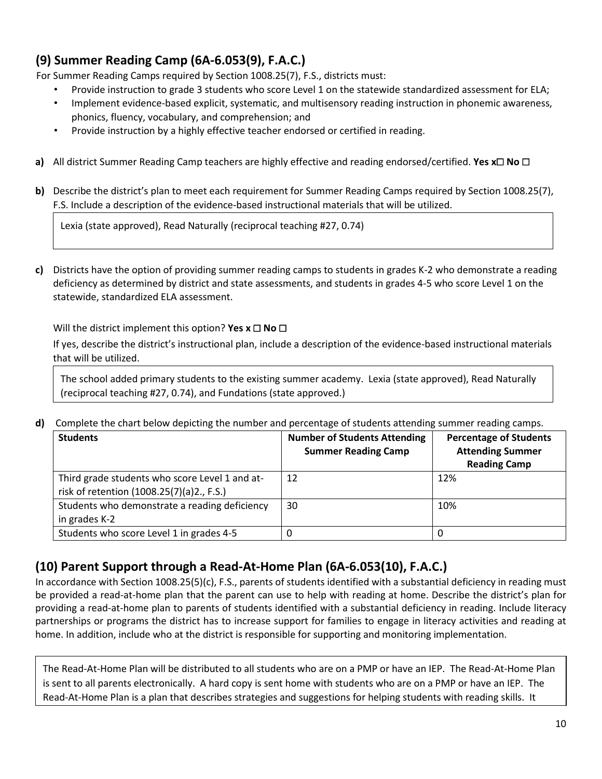# **(9) Summer Reading Camp (6A-6.053(9), F.A.C.)**

For Summer Reading Camps required by Section 1008.25(7), F.S., districts must:

- Provide instruction to grade 3 students who score Level 1 on the statewide standardized assessment for ELA;
- Implement evidence-based explicit, systematic, and multisensory reading instruction in phonemic awareness, phonics, fluency, vocabulary, and comprehension; and
- Provide instruction by a highly effective teacher endorsed or certified in reading.
- **a)** All district Summer Reading Camp teachers are highly effective and reading endorsed/certified. **Yes x**☐ **No** ☐
- **b)** Describe the district's plan to meet each requirement for Summer Reading Camps required by Section 1008.25(7), F.S. Include a description of the evidence-based instructional materials that will be utilized.

Lexia (state approved), Read Naturally (reciprocal teaching #27, 0.74)

**c)** Districts have the option of providing summer reading camps to students in grades K-2 who demonstrate a reading deficiency as determined by district and state assessments, and students in grades 4-5 who score Level 1 on the statewide, standardized ELA assessment.

Will the district implement this option? **Yes x** ☐ **No** ☐

If yes, describe the district's instructional plan, include a description of the evidence-based instructional materials that will be utilized.

The school added primary students to the existing summer academy. Lexia (state approved), Read Naturally (reciprocal teaching #27, 0.74), and Fundations (state approved.)

**d)** Complete the chart below depicting the number and percentage of students attending summer reading camps.

| <b>Students</b>                                                                             | <b>Number of Students Attending</b><br><b>Summer Reading Camp</b> | <b>Percentage of Students</b><br><b>Attending Summer</b><br><b>Reading Camp</b> |
|---------------------------------------------------------------------------------------------|-------------------------------------------------------------------|---------------------------------------------------------------------------------|
| Third grade students who score Level 1 and at-<br>risk of retention (1008.25(7)(a)2., F.S.) | 12                                                                | 12%                                                                             |
| Students who demonstrate a reading deficiency<br>in grades K-2                              | 30                                                                | 10%                                                                             |
| Students who score Level 1 in grades 4-5                                                    |                                                                   | 0                                                                               |

## **(10) Parent Support through a Read-At-Home Plan (6A-6.053(10), F.A.C.)**

In accordance with Section 1008.25(5)(c), F.S., parents of students identified with a substantial deficiency in reading must be provided a read-at-home plan that the parent can use to help with reading at home. Describe the district's plan for providing a read-at-home plan to parents of students identified with a substantial deficiency in reading. Include literacy partnerships or programs the district has to increase support for families to engage in literacy activities and reading at home. In addition, include who at the district is responsible for supporting and monitoring implementation.

The Read-At-Home Plan will be distributed to all students who are on a PMP or have an IEP. The Read-At-Home Plan is sent to all parents electronically. A hard copy is sent home with students who are on a PMP or have an IEP. The Read-At-Home Plan is a plan that describes strategies and suggestions for helping students with reading skills. It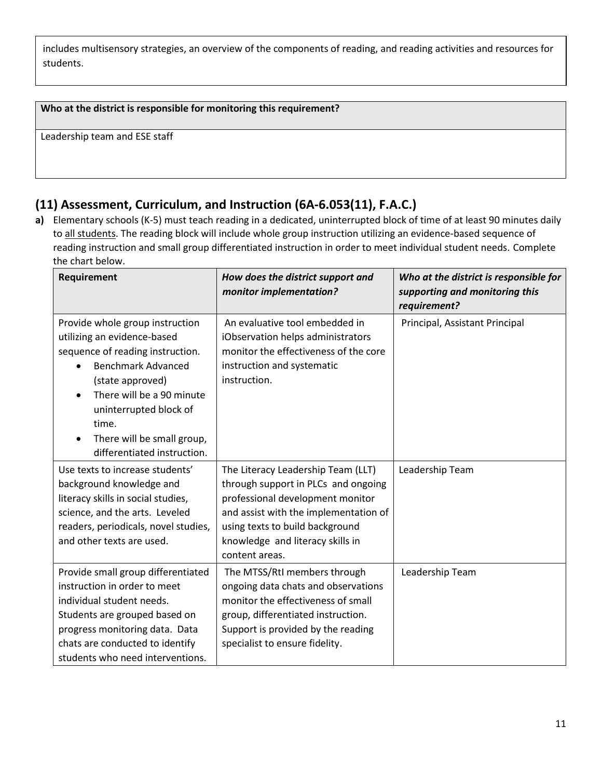includes multisensory strategies, an overview of the components of reading, and reading activities and resources for students.

### **Who at the district is responsible for monitoring this requirement?**

Leadership team and ESE staff

## **(11) Assessment, Curriculum, and Instruction (6A-6.053(11), F.A.C.)**

**a)** Elementary schools (K-5) must teach reading in a dedicated, uninterrupted block of time of at least 90 minutes daily to all students. The reading block will include whole group instruction utilizing an evidence-based sequence of reading instruction and small group differentiated instruction in order to meet individual student needs. Complete the chart below.

| Requirement                                                                                                                                                                                                                                                                      | How does the district support and<br>monitor implementation?                                                                                                                                                                                    | Who at the district is responsible for<br>supporting and monitoring this<br>requirement? |
|----------------------------------------------------------------------------------------------------------------------------------------------------------------------------------------------------------------------------------------------------------------------------------|-------------------------------------------------------------------------------------------------------------------------------------------------------------------------------------------------------------------------------------------------|------------------------------------------------------------------------------------------|
| Provide whole group instruction<br>utilizing an evidence-based<br>sequence of reading instruction.<br><b>Benchmark Advanced</b><br>(state approved)<br>There will be a 90 minute<br>uninterrupted block of<br>time.<br>There will be small group,<br>differentiated instruction. | An evaluative tool embedded in<br>iObservation helps administrators<br>monitor the effectiveness of the core<br>instruction and systematic<br>instruction.                                                                                      | Principal, Assistant Principal                                                           |
| Use texts to increase students'<br>background knowledge and<br>literacy skills in social studies,<br>science, and the arts. Leveled<br>readers, periodicals, novel studies,<br>and other texts are used.                                                                         | The Literacy Leadership Team (LLT)<br>through support in PLCs and ongoing<br>professional development monitor<br>and assist with the implementation of<br>using texts to build background<br>knowledge and literacy skills in<br>content areas. | Leadership Team                                                                          |
| Provide small group differentiated<br>instruction in order to meet<br>individual student needs.<br>Students are grouped based on<br>progress monitoring data. Data<br>chats are conducted to identify<br>students who need interventions.                                        | The MTSS/RtI members through<br>ongoing data chats and observations<br>monitor the effectiveness of small<br>group, differentiated instruction.<br>Support is provided by the reading<br>specialist to ensure fidelity.                         | Leadership Team                                                                          |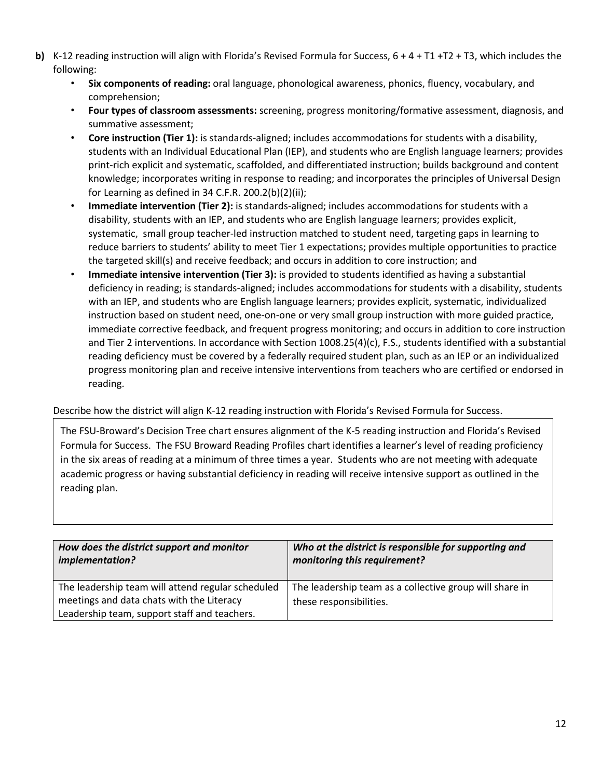- **b)** K-12 reading instruction will align with Florida's Revised Formula for Success,  $6 + 4 + T1 + T2 + T3$ , which includes the following:
	- **Six components of reading:** oral language, phonological awareness, phonics, fluency, vocabulary, and comprehension;
	- **Four types of classroom assessments:** screening, progress monitoring/formative assessment, diagnosis, and summative assessment;
	- **Core instruction (Tier 1):** is standards-aligned; includes accommodations for students with a disability, students with an Individual Educational Plan (IEP), and students who are English language learners; provides print-rich explicit and systematic, scaffolded, and differentiated instruction; builds background and content knowledge; incorporates writing in response to reading; and incorporates the principles of Universal Design for Learning as defined in 34 C.F.R. 200.2(b)(2)(ii);
	- **Immediate intervention (Tier 2):** is standards-aligned; includes accommodations for students with a disability, students with an IEP, and students who are English language learners; provides explicit, systematic, small group teacher-led instruction matched to student need, targeting gaps in learning to reduce barriers to students' ability to meet Tier 1 expectations; provides multiple opportunities to practice the targeted skill(s) and receive feedback; and occurs in addition to core instruction; and
	- **Immediate intensive intervention (Tier 3):** is provided to students identified as having a substantial deficiency in reading; is standards-aligned; includes accommodations for students with a disability, students with an IEP, and students who are English language learners; provides explicit, systematic, individualized instruction based on student need, one-on-one or very small group instruction with more guided practice, immediate corrective feedback, and frequent progress monitoring; and occurs in addition to core instruction and Tier 2 interventions. In accordance with Section 1008.25(4)(c), F.S., students identified with a substantial reading deficiency must be covered by a federally required student plan, such as an IEP or an individualized progress monitoring plan and receive intensive interventions from teachers who are certified or endorsed in reading.

### Describe how the district will align K-12 reading instruction with Florida's Revised Formula for Success.

The FSU-Broward's Decision Tree chart ensures alignment of the K-5 reading instruction and Florida's Revised Formula for Success. The FSU Broward Reading Profiles chart identifies a learner's level of reading proficiency in the six areas of reading at a minimum of three times a year. Students who are not meeting with adequate academic progress or having substantial deficiency in reading will receive intensive support as outlined in the reading plan.

| How does the district support and monitor                                                                                                      | Who at the district is responsible for supporting and                              |
|------------------------------------------------------------------------------------------------------------------------------------------------|------------------------------------------------------------------------------------|
| implementation?                                                                                                                                | monitoring this requirement?                                                       |
| The leadership team will attend regular scheduled<br>meetings and data chats with the Literacy<br>Leadership team, support staff and teachers. | The leadership team as a collective group will share in<br>these responsibilities. |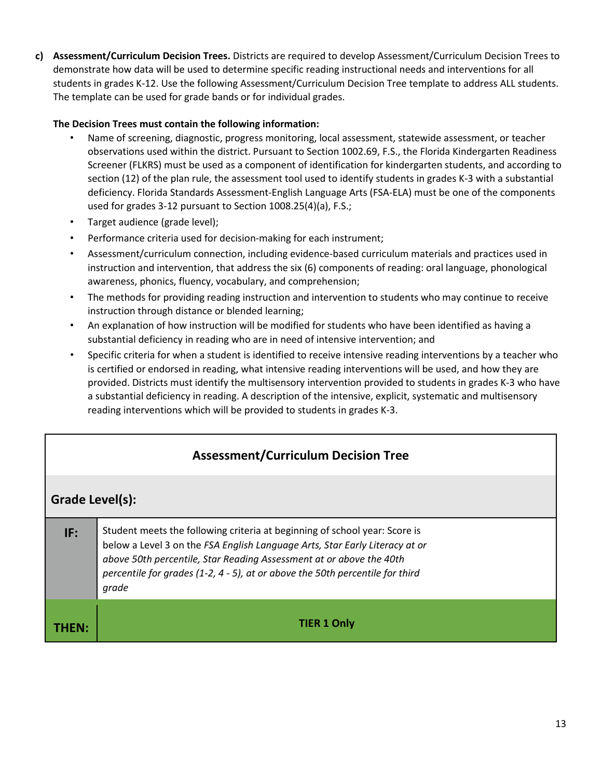**c) Assessment/Curriculum Decision Trees.** Districts are required to develop Assessment/Curriculum Decision Trees to demonstrate how data will be used to determine specific reading instructional needs and interventions for all students in grades K-12. Use the following Assessment/Curriculum Decision Tree template to address ALL students. The template can be used for grade bands or for individual grades.

#### **The Decision Trees must contain the following information:**

- Name of screening, diagnostic, progress monitoring, local assessment, statewide assessment, or teacher observations used within the district. Pursuant to Section 1002.69, F.S., the Florida Kindergarten Readiness Screener (FLKRS) must be used as a component of identification for kindergarten students, and according to section (12) of the plan rule, the assessment tool used to identify students in grades K-3 with a substantial deficiency. Florida Standards Assessment-English Language Arts (FSA-ELA) must be one of the components used for grades 3-12 pursuant to Section 1008.25(4)(a), F.S.;
- Target audience (grade level);
- Performance criteria used for decision-making for each instrument;
- Assessment/curriculum connection, including evidence-based curriculum materials and practices used in instruction and intervention, that address the six (6) components of reading: oral language, phonological awareness, phonics, fluency, vocabulary, and comprehension;
- The methods for providing reading instruction and intervention to students who may continue to receive instruction through distance or blended learning;
- An explanation of how instruction will be modified for students who have been identified as having a substantial deficiency in reading who are in need of intensive intervention; and
- Specific criteria for when a student is identified to receive intensive reading interventions by a teacher who is certified or endorsed in reading, what intensive reading interventions will be used, and how they are provided. Districts must identify the multisensory intervention provided to students in grades K-3 who have a substantial deficiency in reading. A description of the intensive, explicit, systematic and multisensory reading interventions which will be provided to students in grades K-3.

### **Assessment/Curriculum Decision Tree**

### **Grade Level(s):**

| IF: | Student meets the following criteria at beginning of school year: Score is<br>below a Level 3 on the FSA English Language Arts, Star Early Literacy at or<br>above 50th percentile, Star Reading Assessment at or above the 40th<br>percentile for grades (1-2, 4 - 5), at or above the 50th percentile for third<br>grade |
|-----|----------------------------------------------------------------------------------------------------------------------------------------------------------------------------------------------------------------------------------------------------------------------------------------------------------------------------|
|     | <b>TIER 1 Only</b>                                                                                                                                                                                                                                                                                                         |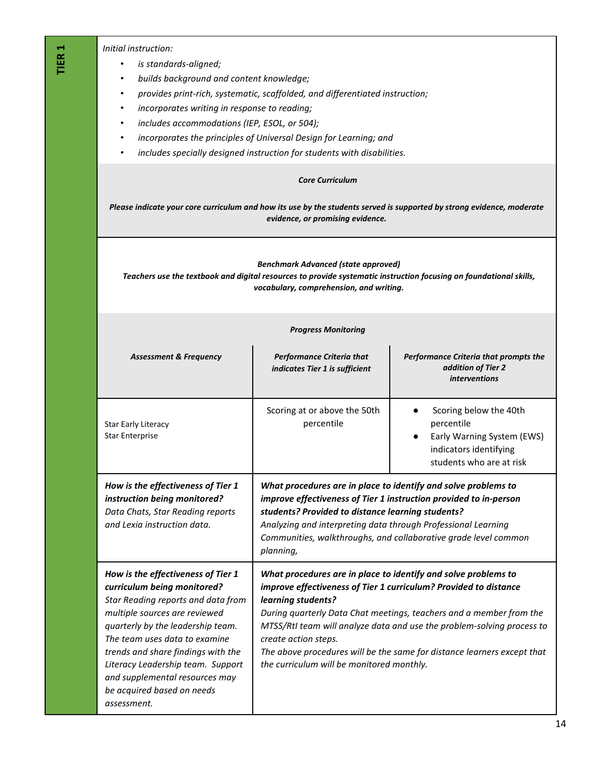*Initial instruction:* 

- *is standards-aligned;*
- *builds background and content knowledge;*
- *provides print-rich, systematic, scaffolded, and differentiated instruction;*
- *incorporates writing in response to reading;*
- *includes accommodations (IEP, ESOL, or 504);*
- *incorporates the principles of Universal Design for Learning; and*
- *includes specially designed instruction for students with disabilities.*

#### *Core Curriculum*

*Please indicate your core curriculum and how its use by the students served is supported by strong evidence, moderate evidence, or promising evidence.* 

#### *Benchmark Advanced (state approved) Teachers use the textbook and digital resources to provide systematic instruction focusing on foundational skills, vocabulary, comprehension, and writing.*

#### *Progress Monitoring*

| <b>Assessment &amp; Frequency</b>                                                                                                                                                                                                                                                                                                                                        | <b>Performance Criteria that</b><br>indicates Tier 1 is sufficient                                                                                                                                                                                                                                                                                                                                                                                        | Performance Criteria that prompts the<br>addition of Tier 2<br><i>interventions</i>                                      |
|--------------------------------------------------------------------------------------------------------------------------------------------------------------------------------------------------------------------------------------------------------------------------------------------------------------------------------------------------------------------------|-----------------------------------------------------------------------------------------------------------------------------------------------------------------------------------------------------------------------------------------------------------------------------------------------------------------------------------------------------------------------------------------------------------------------------------------------------------|--------------------------------------------------------------------------------------------------------------------------|
| <b>Star Early Literacy</b><br><b>Star Enterprise</b>                                                                                                                                                                                                                                                                                                                     | Scoring at or above the 50th<br>percentile                                                                                                                                                                                                                                                                                                                                                                                                                | Scoring below the 40th<br>percentile<br>Early Warning System (EWS)<br>indicators identifying<br>students who are at risk |
| How is the effectiveness of Tier 1<br>instruction being monitored?<br>Data Chats, Star Reading reports<br>and Lexia instruction data.                                                                                                                                                                                                                                    | What procedures are in place to identify and solve problems to<br>improve effectiveness of Tier 1 instruction provided to in-person<br>students? Provided to distance learning students?<br>Analyzing and interpreting data through Professional Learning<br>Communities, walkthroughs, and collaborative grade level common<br>planning,                                                                                                                 |                                                                                                                          |
| How is the effectiveness of Tier 1<br>curriculum being monitored?<br>Star Reading reports and data from<br>multiple sources are reviewed<br>quarterly by the leadership team.<br>The team uses data to examine<br>trends and share findings with the<br>Literacy Leadership team. Support<br>and supplemental resources may<br>be acquired based on needs<br>assessment. | What procedures are in place to identify and solve problems to<br>improve effectiveness of Tier 1 curriculum? Provided to distance<br>learning students?<br>During quarterly Data Chat meetings, teachers and a member from the<br>MTSS/RtI team will analyze data and use the problem-solving process to<br>create action steps.<br>The above procedures will be the same for distance learners except that<br>the curriculum will be monitored monthly. |                                                                                                                          |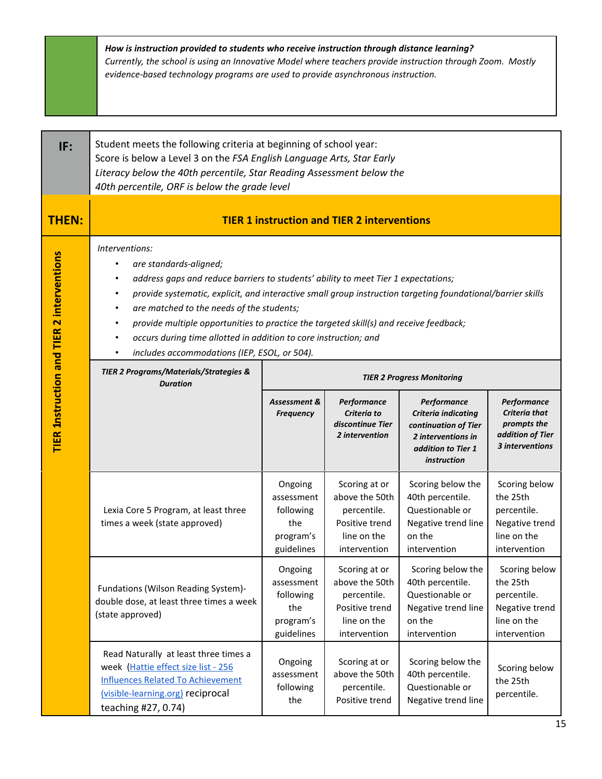|                                                  | How is instruction provided to students who receive instruction through distance learning?<br>Currently, the school is using an Innovative Model where teachers provide instruction through Zoom. Mostly<br>evidence-based technology programs are used to provide asynchronous instruction.                                                                                                                                                                                                                                                                                     |                                                                      |                                                                                                 |                                                                                                                                     |                                                                                           |
|--------------------------------------------------|----------------------------------------------------------------------------------------------------------------------------------------------------------------------------------------------------------------------------------------------------------------------------------------------------------------------------------------------------------------------------------------------------------------------------------------------------------------------------------------------------------------------------------------------------------------------------------|----------------------------------------------------------------------|-------------------------------------------------------------------------------------------------|-------------------------------------------------------------------------------------------------------------------------------------|-------------------------------------------------------------------------------------------|
| IF:                                              | Student meets the following criteria at beginning of school year:<br>Score is below a Level 3 on the FSA English Language Arts, Star Early<br>Literacy below the 40th percentile, Star Reading Assessment below the<br>40th percentile, ORF is below the grade level                                                                                                                                                                                                                                                                                                             |                                                                      |                                                                                                 |                                                                                                                                     |                                                                                           |
| <b>THEN:</b>                                     |                                                                                                                                                                                                                                                                                                                                                                                                                                                                                                                                                                                  |                                                                      | <b>TIER 1 instruction and TIER 2 interventions</b>                                              |                                                                                                                                     |                                                                                           |
| <b>TIER Instruction and TIER 2 interventions</b> | Interventions:<br>are standards-aligned;<br>address gaps and reduce barriers to students' ability to meet Tier 1 expectations;<br>provide systematic, explicit, and interactive small group instruction targeting foundational/barrier skills<br>are matched to the needs of the students;<br>provide multiple opportunities to practice the targeted skill(s) and receive feedback;<br>occurs during time allotted in addition to core instruction; and<br>includes accommodations (IEP, ESOL, or 504).<br><b>TIER 2 Programs/Materials/Strategies &amp;</b><br><b>Duration</b> |                                                                      |                                                                                                 | <b>TIER 2 Progress Monitoring</b>                                                                                                   |                                                                                           |
|                                                  |                                                                                                                                                                                                                                                                                                                                                                                                                                                                                                                                                                                  | Assessment &<br><b>Frequency</b>                                     | Performance<br>Criteria to<br>discontinue Tier<br>2 intervention                                | Performance<br><b>Criteria indicating</b><br>continuation of Tier<br>2 interventions in<br>addition to Tier 1<br><i>instruction</i> | Performance<br>Criteria that<br>prompts the<br>addition of Tier<br>3 interventions        |
|                                                  | Lexia Core 5 Program, at least three<br>times a week (state approved)                                                                                                                                                                                                                                                                                                                                                                                                                                                                                                            | Ongoing<br>assessment<br>following<br>the<br>program's<br>guidelines | Scoring at or<br>above the 50th<br>percentile.<br>Positive trend<br>line on the<br>intervention | Scoring below the<br>40th percentile.<br>Questionable or<br>Negative trend line<br>on the<br>intervention                           | Scoring below<br>the 25th<br>percentile.<br>Negative trend<br>line on the<br>intervention |
|                                                  | Fundations (Wilson Reading System)-<br>double dose, at least three times a week<br>(state approved)                                                                                                                                                                                                                                                                                                                                                                                                                                                                              | Ongoing<br>assessment<br>following<br>the<br>program's<br>guidelines | Scoring at or<br>above the 50th<br>percentile.<br>Positive trend<br>line on the<br>intervention | Scoring below the<br>40th percentile.<br>Questionable or<br>Negative trend line<br>on the<br>intervention                           | Scoring below<br>the 25th<br>percentile.<br>Negative trend<br>line on the<br>intervention |
|                                                  | Read Naturally at least three times a<br>week (Hattie effect size list - 256<br><b>Influences Related To Achievement</b><br>(visible-learning.org) reciprocal<br>teaching #27, 0.74)                                                                                                                                                                                                                                                                                                                                                                                             | Ongoing<br>assessment<br>following<br>the                            | Scoring at or<br>above the 50th<br>percentile.<br>Positive trend                                | Scoring below the<br>40th percentile.<br>Questionable or<br>Negative trend line                                                     | Scoring below<br>the 25th<br>percentile.                                                  |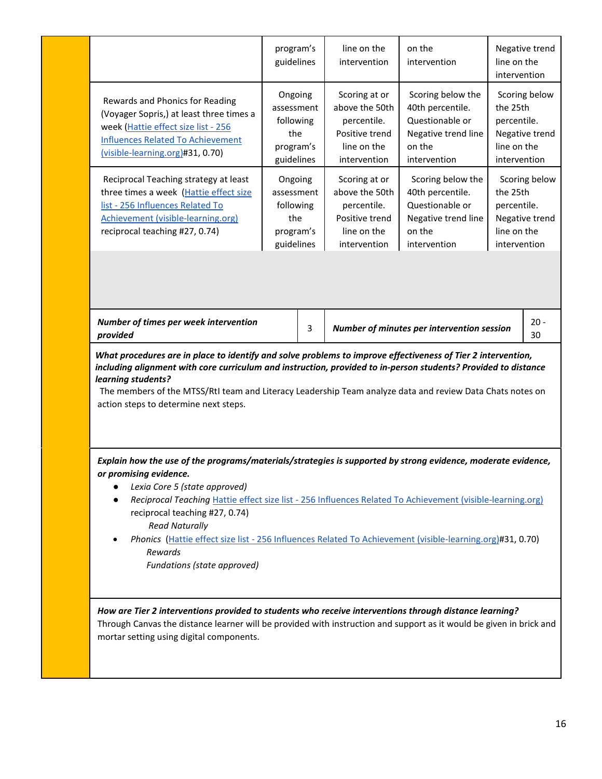|                                                                                                                                                                                                                                                                                                                                                                                                                                                                                                         | program's<br>guidelines                                              |   | line on the<br>intervention                                                                     | on the<br>intervention                                                                                    | line on the<br>intervention                            | Negative trend                  |
|---------------------------------------------------------------------------------------------------------------------------------------------------------------------------------------------------------------------------------------------------------------------------------------------------------------------------------------------------------------------------------------------------------------------------------------------------------------------------------------------------------|----------------------------------------------------------------------|---|-------------------------------------------------------------------------------------------------|-----------------------------------------------------------------------------------------------------------|--------------------------------------------------------|---------------------------------|
| Rewards and Phonics for Reading<br>(Voyager Sopris,) at least three times a<br>week (Hattie effect size list - 256<br><b>Influences Related To Achievement</b><br>(visible-learning.org)#31, 0.70)                                                                                                                                                                                                                                                                                                      | Ongoing<br>assessment<br>following<br>the<br>program's<br>guidelines |   | Scoring at or<br>above the 50th<br>percentile.<br>Positive trend<br>line on the<br>intervention | Scoring below the<br>40th percentile.<br>Questionable or<br>Negative trend line<br>on the<br>intervention | the 25th<br>percentile.<br>line on the<br>intervention | Scoring below<br>Negative trend |
| Reciprocal Teaching strategy at least<br>three times a week (Hattie effect size<br>list - 256 Influences Related To<br>Achievement (visible-learning.org)<br>reciprocal teaching #27, 0.74)                                                                                                                                                                                                                                                                                                             | Ongoing<br>assessment<br>following<br>the<br>program's<br>guidelines |   | Scoring at or<br>above the 50th<br>percentile.<br>Positive trend<br>line on the<br>intervention | Scoring below the<br>40th percentile.<br>Questionable or<br>Negative trend line<br>on the<br>intervention | the 25th<br>percentile.<br>line on the<br>intervention | Scoring below<br>Negative trend |
|                                                                                                                                                                                                                                                                                                                                                                                                                                                                                                         |                                                                      |   |                                                                                                 |                                                                                                           |                                                        |                                 |
| Number of times per week intervention<br>provided                                                                                                                                                                                                                                                                                                                                                                                                                                                       |                                                                      | 3 |                                                                                                 | Number of minutes per intervention session                                                                |                                                        | $20 -$<br>30                    |
| What procedures are in place to identify and solve problems to improve effectiveness of Tier 2 intervention,<br>including alignment with core curriculum and instruction, provided to in-person students? Provided to distance<br>learning students?<br>The members of the MTSS/RtI team and Literacy Leadership Team analyze data and review Data Chats notes on<br>action steps to determine next steps.                                                                                              |                                                                      |   |                                                                                                 |                                                                                                           |                                                        |                                 |
| Explain how the use of the programs/materials/strategies is supported by strong evidence, moderate evidence,<br>or promising evidence.<br>Lexia Core 5 (state approved)<br>Reciprocal Teaching Hattie effect size list - 256 Influences Related To Achievement (visible-learning.org)<br>reciprocal teaching #27, 0.74)<br><b>Read Naturally</b><br>Phonics (Hattie effect size list - 256 Influences Related To Achievement (visible-learning.org)#31, 0.70)<br>Rewards<br>Fundations (state approved) |                                                                      |   |                                                                                                 |                                                                                                           |                                                        |                                 |
| How are Tier 2 interventions provided to students who receive interventions through distance learning?<br>Through Canvas the distance learner will be provided with instruction and support as it would be given in brick and                                                                                                                                                                                                                                                                           |                                                                      |   |                                                                                                 |                                                                                                           |                                                        |                                 |
| mortar setting using digital components.                                                                                                                                                                                                                                                                                                                                                                                                                                                                |                                                                      |   |                                                                                                 |                                                                                                           |                                                        |                                 |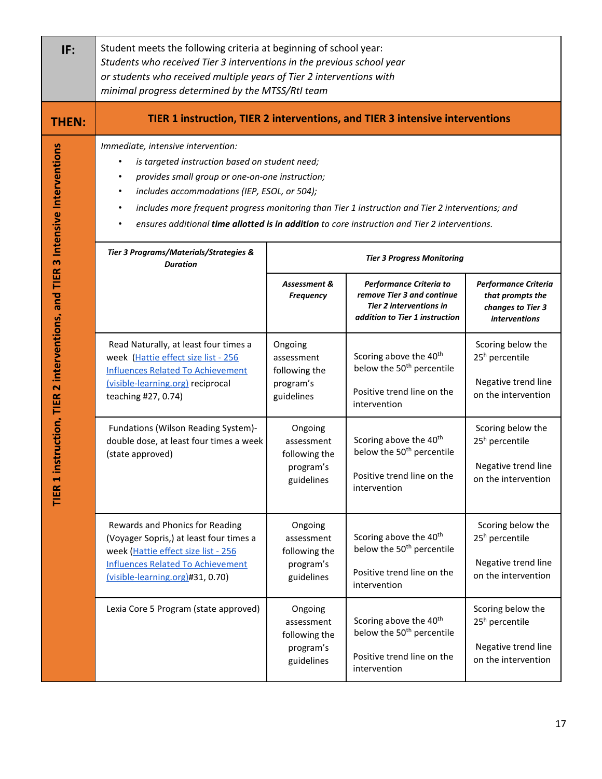| IF:                                                                   | Student meets the following criteria at beginning of school year:<br>Students who received Tier 3 interventions in the previous school year<br>or students who received multiple years of Tier 2 interventions with<br>minimal progress determined by the MTSS/RtI team                                                                                                                      |                                                                   |                                                                                                                           |                                                                                               |  |  |  |
|-----------------------------------------------------------------------|----------------------------------------------------------------------------------------------------------------------------------------------------------------------------------------------------------------------------------------------------------------------------------------------------------------------------------------------------------------------------------------------|-------------------------------------------------------------------|---------------------------------------------------------------------------------------------------------------------------|-----------------------------------------------------------------------------------------------|--|--|--|
| <b>THEN:</b>                                                          | TIER 1 instruction, TIER 2 interventions, and TIER 3 intensive interventions                                                                                                                                                                                                                                                                                                                 |                                                                   |                                                                                                                           |                                                                                               |  |  |  |
| instruction, TIER 2 interventions, and TIER 3 Intensive Interventions | Immediate, intensive intervention:<br>is targeted instruction based on student need;<br>provides small group or one-on-one instruction;<br>includes accommodations (IEP, ESOL, or 504);<br>includes more frequent progress monitoring than Tier 1 instruction and Tier 2 interventions; and<br>ensures additional time allotted is in addition to core instruction and Tier 2 interventions. |                                                                   |                                                                                                                           |                                                                                               |  |  |  |
|                                                                       | Tier 3 Programs/Materials/Strategies &<br><b>Duration</b>                                                                                                                                                                                                                                                                                                                                    |                                                                   | <b>Tier 3 Progress Monitoring</b>                                                                                         |                                                                                               |  |  |  |
|                                                                       |                                                                                                                                                                                                                                                                                                                                                                                              | Assessment &<br><b>Frequency</b>                                  | Performance Criteria to<br>remove Tier 3 and continue<br><b>Tier 2 interventions in</b><br>addition to Tier 1 instruction | Performance Criteria<br>that prompts the<br>changes to Tier 3<br><i>interventions</i>         |  |  |  |
|                                                                       | Read Naturally, at least four times a<br>week (Hattie effect size list - 256<br><b>Influences Related To Achievement</b><br>(visible-learning.org) reciprocal<br>teaching #27, 0.74)                                                                                                                                                                                                         | Ongoing<br>assessment<br>following the<br>program's<br>guidelines | Scoring above the 40 <sup>th</sup><br>below the 50 <sup>th</sup> percentile<br>Positive trend line on the<br>intervention | Scoring below the<br>25 <sup>h</sup> percentile<br>Negative trend line<br>on the intervention |  |  |  |
| TIER <sub>1</sub>                                                     | Fundations (Wilson Reading System)-<br>double dose, at least four times a week<br>(state approved)                                                                                                                                                                                                                                                                                           | Ongoing<br>assessment<br>following the<br>program's<br>guidelines | Scoring above the 40 <sup>th</sup><br>below the 50 <sup>th</sup> percentile<br>Positive trend line on the<br>intervention | Scoring below the<br>25 <sup>h</sup> percentile<br>Negative trend line<br>on the intervention |  |  |  |
|                                                                       | Rewards and Phonics for Reading<br>(Voyager Sopris,) at least four times a<br>week (Hattie effect size list - 256<br><b>Influences Related To Achievement</b><br>(visible-learning.org)#31, 0.70)                                                                                                                                                                                            | Ongoing<br>assessment<br>following the<br>program's<br>guidelines | Scoring above the 40 <sup>th</sup><br>below the 50 <sup>th</sup> percentile<br>Positive trend line on the<br>intervention | Scoring below the<br>25 <sup>h</sup> percentile<br>Negative trend line<br>on the intervention |  |  |  |
|                                                                       | Lexia Core 5 Program (state approved)                                                                                                                                                                                                                                                                                                                                                        | Ongoing<br>assessment<br>following the<br>program's<br>guidelines | Scoring above the 40 <sup>th</sup><br>below the 50 <sup>th</sup> percentile<br>Positive trend line on the<br>intervention | Scoring below the<br>25 <sup>h</sup> percentile<br>Negative trend line<br>on the intervention |  |  |  |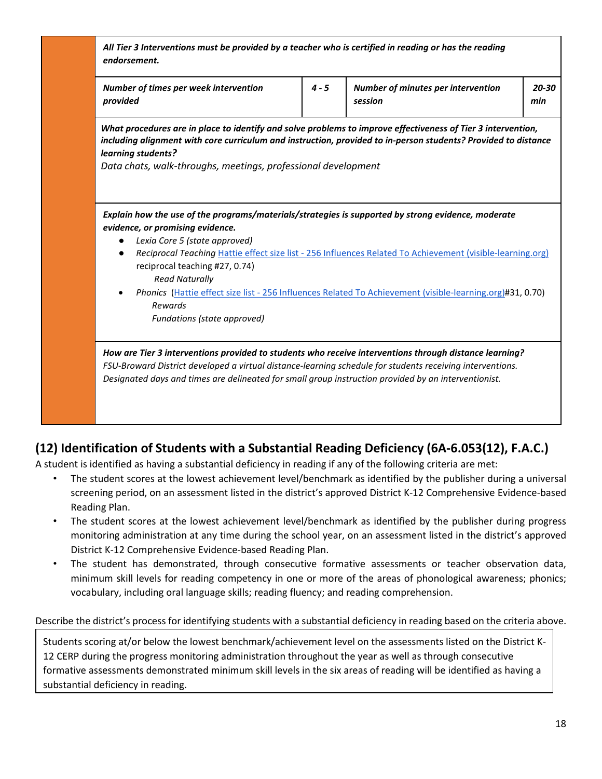| All Tier 3 Interventions must be provided by a teacher who is certified in reading or has the reading |
|-------------------------------------------------------------------------------------------------------|
| endorsement.                                                                                          |

| Number of times per week intervention | $4 - 5$ | <b>Number of minutes per intervention</b> | 20-30 |
|---------------------------------------|---------|-------------------------------------------|-------|
| provided                              |         | session                                   | min   |

*What procedures are in place to identify and solve problems to improve effectiveness of Tier 3 intervention, including alignment with core curriculum and instruction, provided to in-person students? Provided to distance learning students?* 

*Data chats, walk-throughs, meetings, professional development*

*Explain how the use of the programs/materials/strategies is supported by strong evidence, moderate evidence, or promising evidence.* 

- *Lexia Core 5 (state approved)*
- *Reciprocal Teaching* Hattie effect size list [256 Influences Related To Achievement \(visible-learning.org\)](https://visible-learning.org/hattie-ranking-influences-effect-sizes-learning-achievement/) reciprocal teaching #27, 0.74)  *Read Naturally*
- *Phonics* (Hattie effect size list [256 Influences Related To Achievement \(visible-learning.org\)#](https://visible-learning.org/hattie-ranking-influences-effect-sizes-learning-achievement/)31, 0.70)  *Rewards Fundations (state approved)*

*How are Tier 3 interventions provided to students who receive interventions through distance learning? FSU-Broward District developed a virtual distance-learning schedule for students receiving interventions. Designated days and times are delineated for small group instruction provided by an interventionist.* 

## **(12) Identification of Students with a Substantial Reading Deficiency (6A-6.053(12), F.A.C.)**

A student is identified as having a substantial deficiency in reading if any of the following criteria are met:

- The student scores at the lowest achievement level/benchmark as identified by the publisher during a universal screening period, on an assessment listed in the district's approved District K-12 Comprehensive Evidence-based Reading Plan.
- The student scores at the lowest achievement level/benchmark as identified by the publisher during progress monitoring administration at any time during the school year, on an assessment listed in the district's approved District K-12 Comprehensive Evidence-based Reading Plan.
- The student has demonstrated, through consecutive formative assessments or teacher observation data, minimum skill levels for reading competency in one or more of the areas of phonological awareness; phonics; vocabulary, including oral language skills; reading fluency; and reading comprehension.

Describe the district's process for identifying students with a substantial deficiency in reading based on the criteria above.

Students scoring at/or below the lowest benchmark/achievement level on the assessments listed on the District K-12 CERP during the progress monitoring administration throughout the year as well as through consecutive formative assessments demonstrated minimum skill levels in the six areas of reading will be identified as having a substantial deficiency in reading.